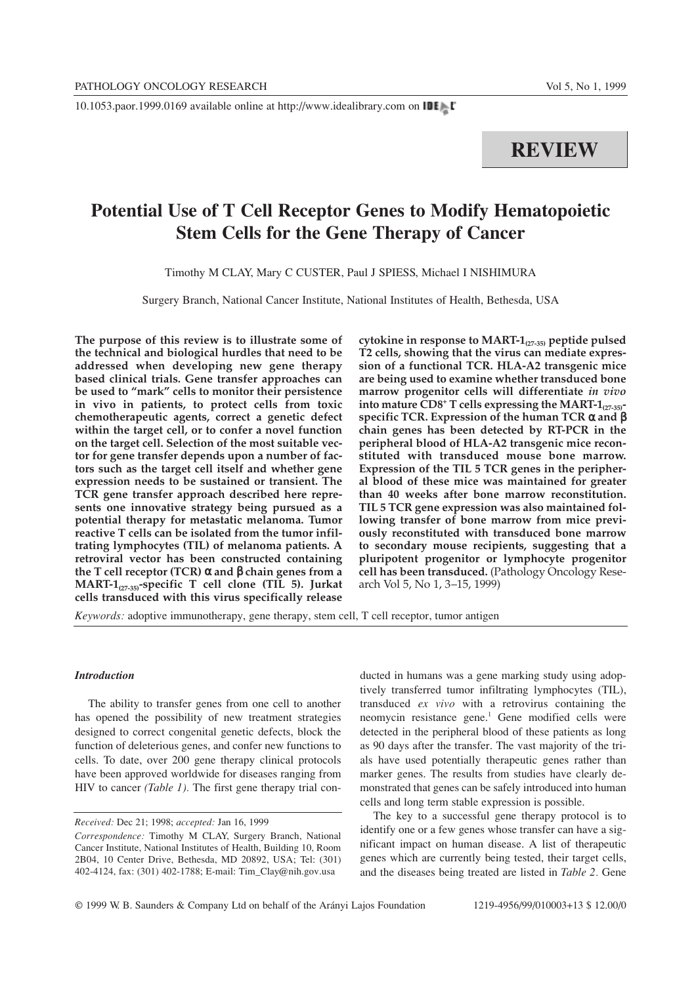10.1053.paor.1999.0169 available online at http://www.idealibrary.com on

# **REVIEW**

# **Potential Use of T Cell Receptor Genes to Modify Hematopoietic Stem Cells for the Gene Therapy of Cancer**

Timothy M CLAY, Mary C CUSTER, Paul J SPIESS, Michael I NISHIMURA

Surgery Branch, National Cancer Institute, National Institutes of Health, Bethesda, USA

**The purpose of this review is to illustrate some of the technical and biological hurdles that need to be addressed when developing new gene therapy based clinical trials. Gene transfer approaches can be used to "mark" cells to monitor their persistence in vivo in patients, to protect cells from toxic chemotherapeutic agents, correct a genetic defect within the target cell, or to confer a novel function on the target cell. Selection of the most suitable vector for gene transfer depends upon a number of factors such as the target cell itself and whether gene expression needs to be sustained or transient. The TCR gene transfer approach described here represents one innovative strategy being pursued as a potential therapy for metastatic melanoma. Tumor reactive T cells can be isolated from the tumor infiltrating lymphocytes (TIL) of melanoma patients. A retroviral vector has been constructed containing the T cell receptor (TCR)** α **and** β **chain genes from a MART-1(27-35)-specific T cell clone (TIL 5). Jurkat cells transduced with this virus specifically release**

**cytokine in response to MART-1(27-35) peptide pulsed T2 cells, showing that the virus can mediate expression of a functional TCR. HLA-A2 transgenic mice are being used to examine whether transduced bone marrow progenitor cells will differentiate** *in vivo* **into mature CD8+ T cells expressing the MART-1(27-35) specific TCR. Expression of the human TCR** α **and** β **chain genes has been detected by RT-PCR in the peripheral blood of HLA-A2 transgenic mice reconstituted with transduced mouse bone marrow. Expression of the TIL 5 TCR genes in the peripheral blood of these mice was maintained for greater than 40 weeks after bone marrow reconstitution. TIL 5 TCR gene expression was also maintained following transfer of bone marrow from mice previously reconstituted with transduced bone marrow to secondary mouse recipients, suggesting that a pluripotent progenitor or lymphocyte progenitor cell has been transduced.** (Pathology Oncology Research Vol 5, No 1, 3–15, 1999)

*Keywords:* adoptive immunotherapy, gene therapy, stem cell, T cell receptor, tumor antigen

# *Introduction*

The ability to transfer genes from one cell to another has opened the possibility of new treatment strategies designed to correct congenital genetic defects, block the function of deleterious genes, and confer new functions to cells. To date, over 200 gene therapy clinical protocols have been approved worldwide for diseases ranging from HIV to cancer *(Table 1).* The first gene therapy trial conducted in humans was a gene marking study using adoptively transferred tumor infiltrating lymphocytes (TIL), transduced *ex vivo* with a retrovirus containing the neomycin resistance gene.<sup>1</sup> Gene modified cells were detected in the peripheral blood of these patients as long as 90 days after the transfer. The vast majority of the trials have used potentially therapeutic genes rather than marker genes. The results from studies have clearly demonstrated that genes can be safely introduced into human cells and long term stable expression is possible.

The key to a successful gene therapy protocol is to identify one or a few genes whose transfer can have a significant impact on human disease. A list of therapeutic genes which are currently being tested, their target cells, and the diseases being treated are listed in *Table 2.* Gene

*Received:* Dec 21; 1998; *accepted:* Jan 16, 1999

*Correspondence:* Timothy M CLAY, Surgery Branch, National Cancer Institute, National Institutes of Health, Building 10, Room 2B04, 10 Center Drive, Bethesda, MD 20892, USA; Tel: (301) 402-4124, fax: (301) 402-1788; E-mail: Tim\_Clay@nih.gov.usa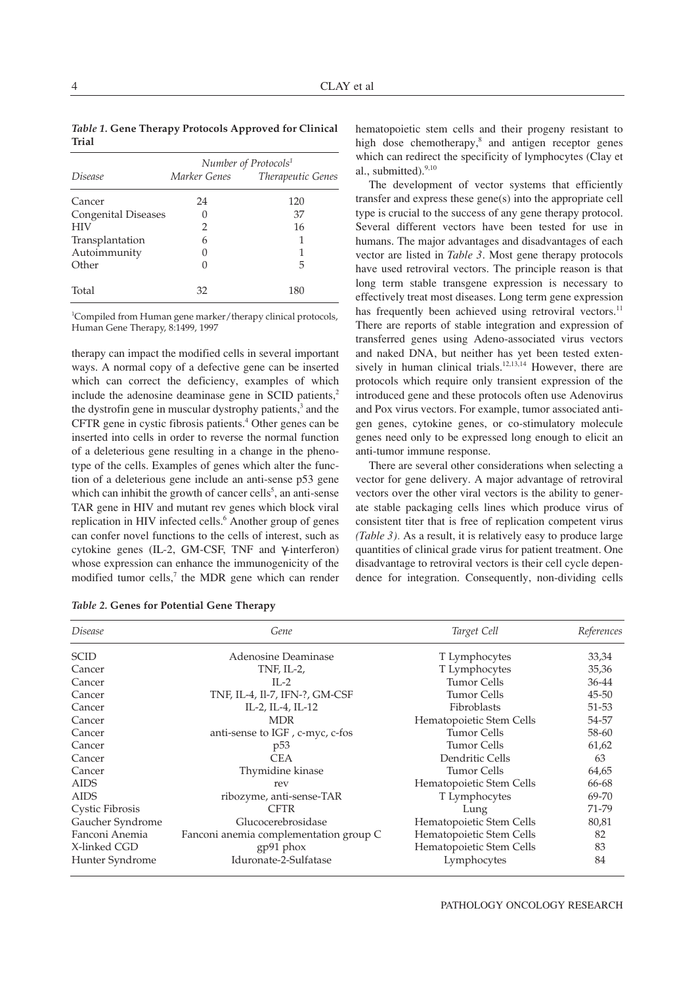*Table 1.* **Gene Therapy Protocols Approved for Clinical Trial**

|                            | Number of Protocols <sup>1</sup> |                                |  |  |  |  |
|----------------------------|----------------------------------|--------------------------------|--|--|--|--|
| <i>Disease</i>             |                                  | Marker Genes Therapeutic Genes |  |  |  |  |
| Cancer                     | 24                               | 120                            |  |  |  |  |
| <b>Congenital Diseases</b> |                                  | 37                             |  |  |  |  |
| <b>HIV</b>                 | 2                                | 16                             |  |  |  |  |
| Transplantation            | 6                                |                                |  |  |  |  |
| Autoimmunity               |                                  |                                |  |  |  |  |
| Other                      |                                  | 5                              |  |  |  |  |
| Total                      | 32                               | 180                            |  |  |  |  |

1 Compiled from Human gene marker/therapy clinical protocols, Human Gene Therapy, 8:1499, 1997

therapy can impact the modified cells in several important ways. A normal copy of a defective gene can be inserted which can correct the deficiency, examples of which include the adenosine deaminase gene in SCID patients, $<sup>2</sup>$ </sup> the dystrofin gene in muscular dystrophy patients,<sup>3</sup> and the CFTR gene in cystic fibrosis patients.<sup>4</sup> Other genes can be inserted into cells in order to reverse the normal function of a deleterious gene resulting in a change in the phenotype of the cells. Examples of genes which alter the function of a deleterious gene include an anti-sense p53 gene which can inhibit the growth of cancer cells<sup>5</sup>, an anti-sense TAR gene in HIV and mutant rev genes which block viral replication in HIV infected cells.<sup>6</sup> Another group of genes can confer novel functions to the cells of interest, such as cytokine genes (IL-2, GM-CSF, TNF and γ-interferon) whose expression can enhance the immunogenicity of the modified tumor cells, $\alpha$  the MDR gene which can render

|  |  |  | Table 2. Genes for Potential Gene Therapy |  |  |
|--|--|--|-------------------------------------------|--|--|
|--|--|--|-------------------------------------------|--|--|

hematopoietic stem cells and their progeny resistant to high dose chemotherapy, $\delta$  and antigen receptor genes which can redirect the specificity of lymphocytes (Clay et al., submitted). $9,10$ 

The development of vector systems that efficiently transfer and express these gene(s) into the appropriate cell type is crucial to the success of any gene therapy protocol. Several different vectors have been tested for use in humans. The major advantages and disadvantages of each vector are listed in *Table 3*. Most gene therapy protocols have used retroviral vectors. The principle reason is that long term stable transgene expression is necessary to effectively treat most diseases. Long term gene expression has frequently been achieved using retroviral vectors.<sup>11</sup> There are reports of stable integration and expression of transferred genes using Adeno-associated virus vectors and naked DNA, but neither has yet been tested extensively in human clinical trials.<sup>12,13,14</sup> However, there are protocols which require only transient expression of the introduced gene and these protocols often use Adenovirus and Pox virus vectors. For example, tumor associated antigen genes, cytokine genes, or co-stimulatory molecule genes need only to be expressed long enough to elicit an anti-tumor immune response.

There are several other considerations when selecting a vector for gene delivery. A major advantage of retroviral vectors over the other viral vectors is the ability to generate stable packaging cells lines which produce virus of consistent titer that is free of replication competent virus *(Table 3).* As a result, it is relatively easy to produce large quantities of clinical grade virus for patient treatment. One disadvantage to retroviral vectors is their cell cycle dependence for integration. Consequently, non-dividing cells

| <i>Disease</i>   | Gene                                   | Target Cell              | References |
|------------------|----------------------------------------|--------------------------|------------|
| <b>SCID</b>      | Adenosine Deaminase                    | T Lymphocytes            | 33,34      |
| Cancer           | TNF, $IL-2$ ,                          | T Lymphocytes            | 35,36      |
| Cancer           | $II - 2$                               | <b>Tumor Cells</b>       | 36-44      |
| Cancer           | TNF, IL-4, Il-7, IFN-?, GM-CSF         | <b>Tumor Cells</b>       | 45-50      |
| Cancer           | IL-2, IL-4, IL-12                      | Fibroblasts              | 51-53      |
| Cancer           | <b>MDR</b>                             | Hematopoietic Stem Cells | 54-57      |
| Cancer           | anti-sense to IGF, c-myc, c-fos        | <b>Tumor Cells</b>       | 58-60      |
| Cancer           | p <sub>53</sub>                        | <b>Tumor Cells</b>       | 61,62      |
| Cancer           | <b>CEA</b>                             | Dendritic Cells          | 63         |
| Cancer           | Thymidine kinase                       | <b>Tumor Cells</b>       | 64,65      |
| <b>AIDS</b>      | rev                                    | Hematopoietic Stem Cells | 66-68      |
| <b>AIDS</b>      | ribozyme, anti-sense-TAR               | T Lymphocytes            | 69-70      |
| Cystic Fibrosis  | <b>CFTR</b>                            | Lung                     | 71-79      |
| Gaucher Syndrome | Glucocerebrosidase                     | Hematopoietic Stem Cells | 80,81      |
| Fanconi Anemia   | Fanconi anemia complementation group C | Hematopoietic Stem Cells | 82         |
| X-linked CGD     | $gp91$ phox                            | Hematopoietic Stem Cells | 83         |
| Hunter Syndrome  | Iduronate-2-Sulfatase                  | Lymphocytes              | 84         |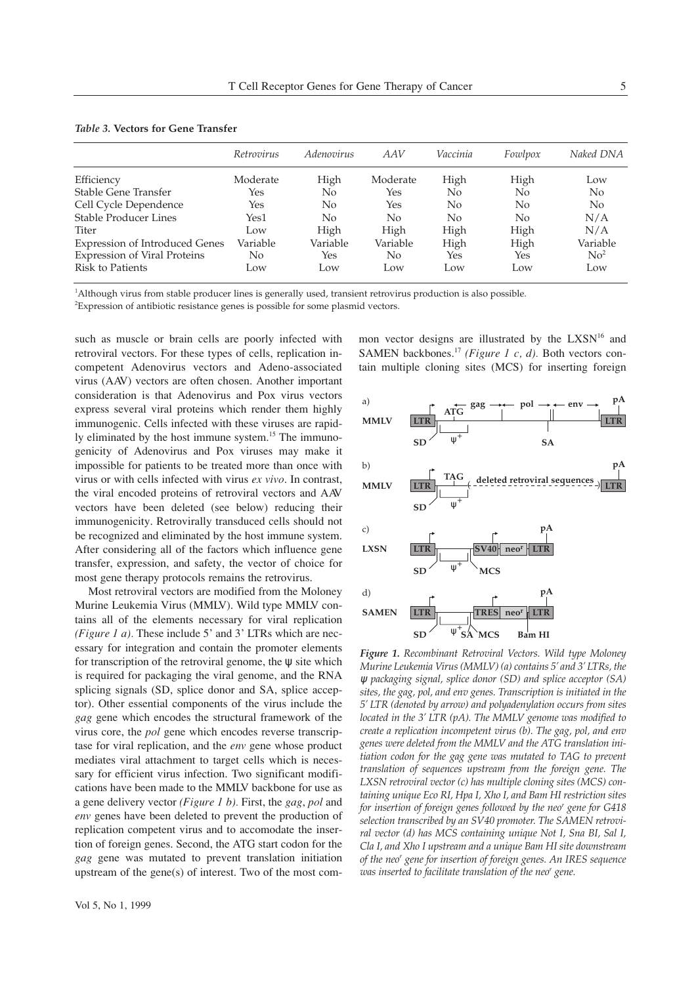|                                       | Retrovirus | <i>Adenovirus</i> | AAV      | Vaccinia | Fowlpox        | Naked DNA       |
|---------------------------------------|------------|-------------------|----------|----------|----------------|-----------------|
|                                       |            |                   |          |          |                |                 |
| Efficiency                            | Moderate   | High              | Moderate | High     | High           | Low             |
| Stable Gene Transfer                  | Yes        | No                | Yes      | No       | No.            | No              |
| Cell Cycle Dependence                 | Yes        | No                | Yes      | No       | N <sub>0</sub> | N <sub>0</sub>  |
| <b>Stable Producer Lines</b>          | Yes1       | No                | No       | No       | N <sub>0</sub> | N/A             |
| Titer                                 | Low        | High              | High     | High     | High           | N/A             |
| <b>Expression of Introduced Genes</b> | Variable   | Variable          | Variable | High     | High           | Variable        |
| Expression of Viral Proteins          | No         | Yes               | No.      | Yes      | Yes            | No <sup>2</sup> |
| Risk to Patients                      | Low        | Low               | Low      | Low      | Low            | Low             |

| <i>Table 3. V</i> ectors for Gene Transfer |  |  |  |
|--------------------------------------------|--|--|--|
|                                            |  |  |  |

1 Although virus from stable producer lines is generally used, transient retrovirus production is also possible.

<sup>2</sup>Expression of antibiotic resistance genes is possible for some plasmid vectors.

such as muscle or brain cells are poorly infected with retroviral vectors. For these types of cells, replication incompetent Adenovirus vectors and Adeno-associated virus (AAV) vectors are often chosen. Another important consideration is that Adenovirus and Pox virus vectors express several viral proteins which render them highly immunogenic. Cells infected with these viruses are rapidly eliminated by the host immune system.<sup>15</sup> The immunogenicity of Adenovirus and Pox viruses may make it impossible for patients to be treated more than once with virus or with cells infected with virus *ex vivo*. In contrast, the viral encoded proteins of retroviral vectors and AAV vectors have been deleted (see below) reducing their immunogenicity. Retrovirally transduced cells should not be recognized and eliminated by the host immune system. After considering all of the factors which influence gene transfer, expression, and safety, the vector of choice for most gene therapy protocols remains the retrovirus.

Most retroviral vectors are modified from the Moloney Murine Leukemia Virus (MMLV). Wild type MMLV contains all of the elements necessary for viral replication *(Figure 1 a).* These include 5' and 3' LTRs which are necessary for integration and contain the promoter elements for transcription of the retroviral genome, the w site which is required for packaging the viral genome, and the RNA splicing signals (SD, splice donor and SA, splice acceptor). Other essential components of the virus include the *gag* gene which encodes the structural framework of the virus core, the *pol* gene which encodes reverse transcriptase for viral replication, and the *env* gene whose product mediates viral attachment to target cells which is necessary for efficient virus infection. Two significant modifications have been made to the MMLV backbone for use as a gene delivery vector *(Figure 1 b).* First, the *gag*, *pol* and *env* genes have been deleted to prevent the production of replication competent virus and to accomodate the insertion of foreign genes. Second, the ATG start codon for the *gag* gene was mutated to prevent translation initiation upstream of the gene(s) of interest. Two of the most common vector designs are illustrated by the LXSN<sup>16</sup> and SAMEN backbones.<sup>17</sup> *(Figure 1 c, d)*. Both vectors contain multiple cloning sites (MCS) for inserting foreign



*Figure 1. Recombinant Retroviral Vectors. Wild type Moloney Murine Leukemia Virus (MMLV) (a) contains 5' and 3' LTRs, the* ψ *packaging signal, splice donor (SD) and splice acceptor (SA) sites, the gag, pol, and env genes. Transcription is initiated in the 5' LTR (denoted by arrow) and polyadenylation occurs from sites located in the 3' LTR (pA). The MMLV genome was modified to create a replication incompetent virus (b). The gag, pol, and env genes were deleted from the MMLV and the ATG translation initiation codon for the gag gene was mutated to TAG to prevent translation of sequences upstream from the foreign gene. The LXSN retroviral vector (c) has multiple cloning sites (MCS) containing unique Eco RI, Hpa I, Xho I, and Bam HI restriction sites for insertion of foreign genes followed by the neor gene for G418 selection transcribed by an SV40 promoter. The SAMEN retroviral vector (d) has MCS containing unique Not I, Sna BI, Sal I, Cla I, and Xho I upstream and a unique Bam HI site downstream of the neor gene for insertion of foreign genes. An IRES sequence was inserted to facilitate translation of the neor gene.*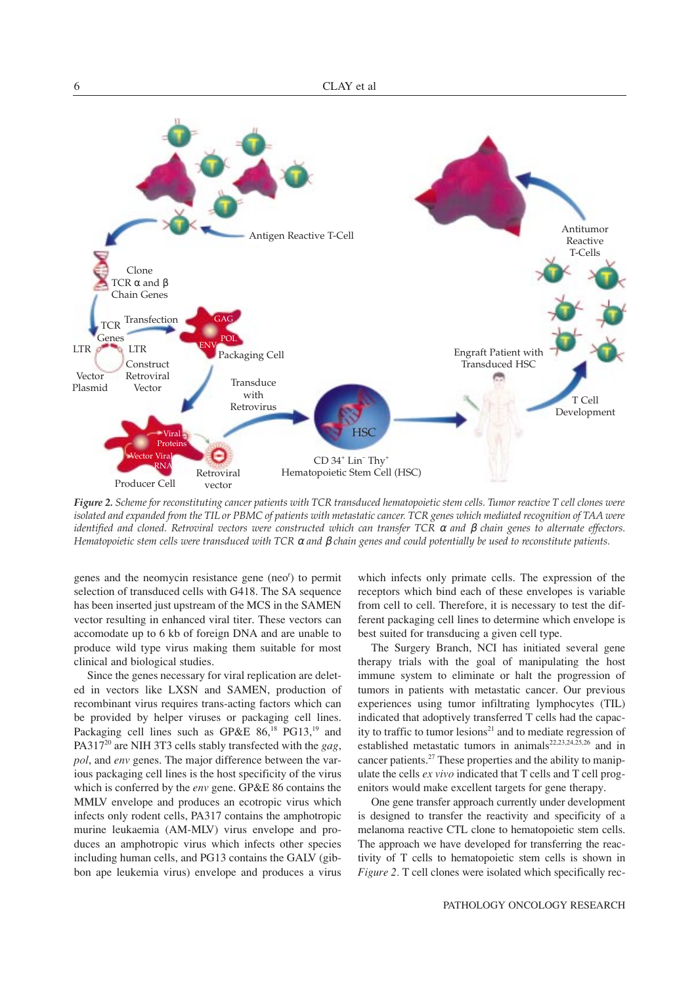

*Figure 2. Scheme for reconstituting cancer patients with TCR transduced hematopoietic stem cells. Tumor reactive T cell clones were isolated and expanded from the TIL or PBMC of patients with metastatic cancer. TCR genes which mediated recognition of TAA were identified and cloned. Retroviral vectors were constructed which can transfer TCR* <sup>α</sup> *and* β *chain genes to alternate effectors. Hematopoietic stem cells were transduced with TCR* <sup>α</sup> *and* β *chain genes and could potentially be used to reconstitute patients.*

genes and the neomycin resistance gene (neo<sup>r</sup>) to permit selection of transduced cells with G418. The SA sequence has been inserted just upstream of the MCS in the SAMEN vector resulting in enhanced viral titer. These vectors can accomodate up to 6 kb of foreign DNA and are unable to produce wild type virus making them suitable for most clinical and biological studies.

Since the genes necessary for viral replication are deleted in vectors like LXSN and SAMEN, production of recombinant virus requires trans-acting factors which can be provided by helper viruses or packaging cell lines. Packaging cell lines such as GP&E  $86$ ,<sup>18</sup> PG13,<sup>19</sup> and PA31720 are NIH 3T3 cells stably transfected with the *gag*, *pol*, and *env* genes. The major difference between the various packaging cell lines is the host specificity of the virus which is conferred by the *env* gene. GP&E 86 contains the MMLV envelope and produces an ecotropic virus which infects only rodent cells, PA317 contains the amphotropic murine leukaemia (AM-MLV) virus envelope and produces an amphotropic virus which infects other species including human cells, and PG13 contains the GALV (gibbon ape leukemia virus) envelope and produces a virus which infects only primate cells. The expression of the receptors which bind each of these envelopes is variable from cell to cell. Therefore, it is necessary to test the different packaging cell lines to determine which envelope is best suited for transducing a given cell type.

The Surgery Branch, NCI has initiated several gene therapy trials with the goal of manipulating the host immune system to eliminate or halt the progression of tumors in patients with metastatic cancer. Our previous experiences using tumor infiltrating lymphocytes (TIL) indicated that adoptively transferred T cells had the capacity to traffic to tumor lesions<sup>21</sup> and to mediate regression of established metastatic tumors in animals<sup>22,23,24,25,26</sup> and in cancer patients.<sup>27</sup> These properties and the ability to manipulate the cells *ex vivo* indicated that T cells and T cell progenitors would make excellent targets for gene therapy.

One gene transfer approach currently under development is designed to transfer the reactivity and specificity of a melanoma reactive CTL clone to hematopoietic stem cells. The approach we have developed for transferring the reactivity of T cells to hematopoietic stem cells is shown in *Figure 2.* T cell clones were isolated which specifically rec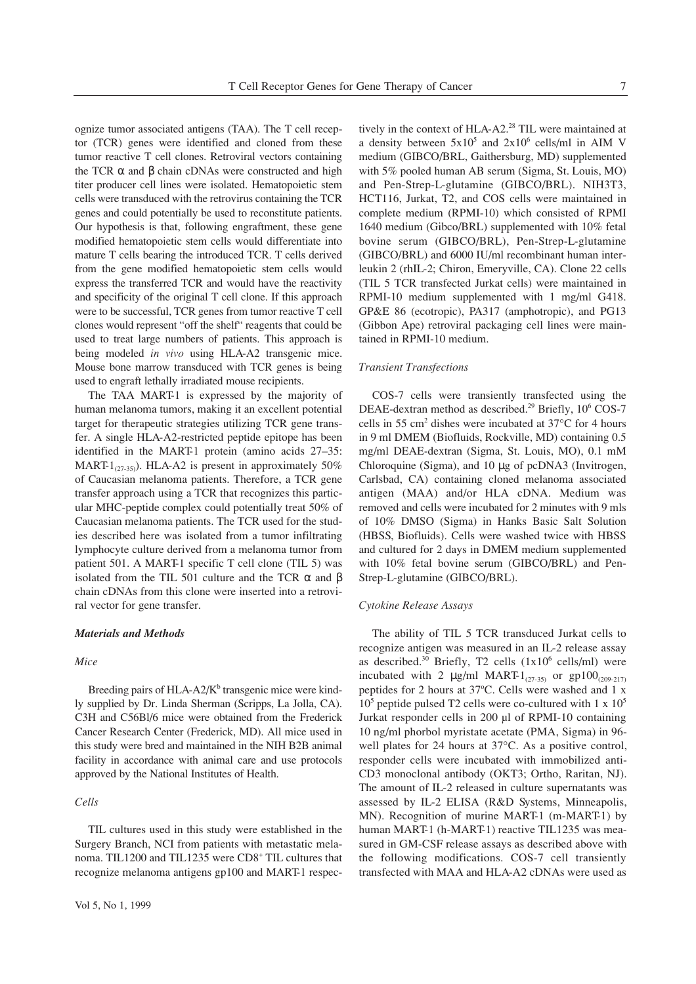ognize tumor associated antigens (TAA). The T cell receptor (TCR) genes were identified and cloned from these tumor reactive T cell clones. Retroviral vectors containing the TCR  $\alpha$  and  $\beta$  chain cDNAs were constructed and high titer producer cell lines were isolated. Hematopoietic stem cells were transduced with the retrovirus containing the TCR genes and could potentially be used to reconstitute patients. Our hypothesis is that, following engraftment, these gene modified hematopoietic stem cells would differentiate into mature T cells bearing the introduced TCR. T cells derived from the gene modified hematopoietic stem cells would express the transferred TCR and would have the reactivity and specificity of the original T cell clone. If this approach were to be successful, TCR genes from tumor reactive T cell clones would represent "off the shelf" reagents that could be used to treat large numbers of patients. This approach is being modeled *in vivo* using HLA-A2 transgenic mice. Mouse bone marrow transduced with TCR genes is being used to engraft lethally irradiated mouse recipients.

The TAA MART-1 is expressed by the majority of human melanoma tumors, making it an excellent potential target for therapeutic strategies utilizing TCR gene transfer. A single HLA-A2-restricted peptide epitope has been identified in the MART-1 protein (amino acids 27–35: MART- $1_{(27-35)}$ ). HLA-A2 is present in approximately 50% of Caucasian melanoma patients. Therefore, a TCR gene transfer approach using a TCR that recognizes this particular MHC-peptide complex could potentially treat 50% of Caucasian melanoma patients. The TCR used for the studies described here was isolated from a tumor infiltrating lymphocyte culture derived from a melanoma tumor from patient 501. A MART-1 specific T cell clone (TIL 5) was isolated from the TIL 501 culture and the TCR  $\alpha$  and β chain cDNAs from this clone were inserted into a retroviral vector for gene transfer.

# *Materials and Methods*

#### *Mice*

Breeding pairs of HLA-A2/ $K^b$  transgenic mice were kindly supplied by Dr. Linda Sherman (Scripps, La Jolla, CA). C3H and C56Bl/6 mice were obtained from the Frederick Cancer Research Center (Frederick, MD). All mice used in this study were bred and maintained in the NIH B2B animal facility in accordance with animal care and use protocols approved by the National Institutes of Health.

# *Cells*

TIL cultures used in this study were established in the Surgery Branch, NCI from patients with metastatic melanoma. TIL1200 and TIL1235 were CD8+ TIL cultures that recognize melanoma antigens gp100 and MART-1 respec-

tively in the context of  $HLA-A2<sup>28</sup>$  TIL were maintained at a density between  $5x10^5$  and  $2x10^6$  cells/ml in AIM V medium (GIBCO/BRL, Gaithersburg, MD) supplemented with 5% pooled human AB serum (Sigma, St. Louis, MO) and Pen-Strep-L-glutamine (GIBCO/BRL). NIH3T3, HCT116, Jurkat, T2, and COS cells were maintained in complete medium (RPMI-10) which consisted of RPMI 1640 medium (Gibco/BRL) supplemented with 10% fetal bovine serum (GIBCO/BRL), Pen-Strep-L-glutamine (GIBCO/BRL) and 6000 IU/ml recombinant human interleukin 2 (rhIL-2; Chiron, Emeryville, CA). Clone 22 cells (TIL 5 TCR transfected Jurkat cells) were maintained in RPMI-10 medium supplemented with 1 mg/ml G418. GP&E 86 (ecotropic), PA317 (amphotropic), and PG13 (Gibbon Ape) retroviral packaging cell lines were maintained in RPMI-10 medium.

# *Transient Transfections*

COS-7 cells were transiently transfected using the DEAE-dextran method as described.<sup>29</sup> Briefly, 10<sup>6</sup> COS-7 cells in 55 cm<sup>2</sup> dishes were incubated at  $37^{\circ}$ C for 4 hours in 9 ml DMEM (Biofluids, Rockville, MD) containing 0.5 mg/ml DEAE-dextran (Sigma, St. Louis, MO), 0.1 mM Chloroquine (Sigma), and 10 µg of pcDNA3 (Invitrogen, Carlsbad, CA) containing cloned melanoma associated antigen (MAA) and/or HLA cDNA. Medium was removed and cells were incubated for 2 minutes with 9 mls of 10% DMSO (Sigma) in Hanks Basic Salt Solution (HBSS, Biofluids). Cells were washed twice with HBSS and cultured for 2 days in DMEM medium supplemented with 10% fetal bovine serum (GIBCO/BRL) and Pen-Strep-L-glutamine (GIBCO/BRL).

#### *Cytokine Release Assays*

The ability of TIL 5 TCR transduced Jurkat cells to recognize antigen was measured in an IL-2 release assay as described. $30$  Briefly, T2 cells (1x10<sup>6</sup> cells/ml) were incubated with 2  $\mu$ g/ml MART-1<sub>(27-35)</sub> or gp100<sub>(209-217)</sub> peptides for 2 hours at 37°C. Cells were washed and 1 x  $10<sup>5</sup>$  peptide pulsed T2 cells were co-cultured with 1 x  $10<sup>5</sup>$ Jurkat responder cells in 200 µl of RPMI-10 containing 10 ng/ml phorbol myristate acetate (PMA, Sigma) in 96 well plates for 24 hours at 37°C. As a positive control, responder cells were incubated with immobilized anti-CD3 monoclonal antibody (OKT3; Ortho, Raritan, NJ). The amount of IL-2 released in culture supernatants was assessed by IL-2 ELISA (R&D Systems, Minneapolis, MN). Recognition of murine MART-1 (m-MART-1) by human MART-1 (h-MART-1) reactive TIL1235 was measured in GM-CSF release assays as described above with the following modifications. COS-7 cell transiently transfected with MAA and HLA-A2 cDNAs were used as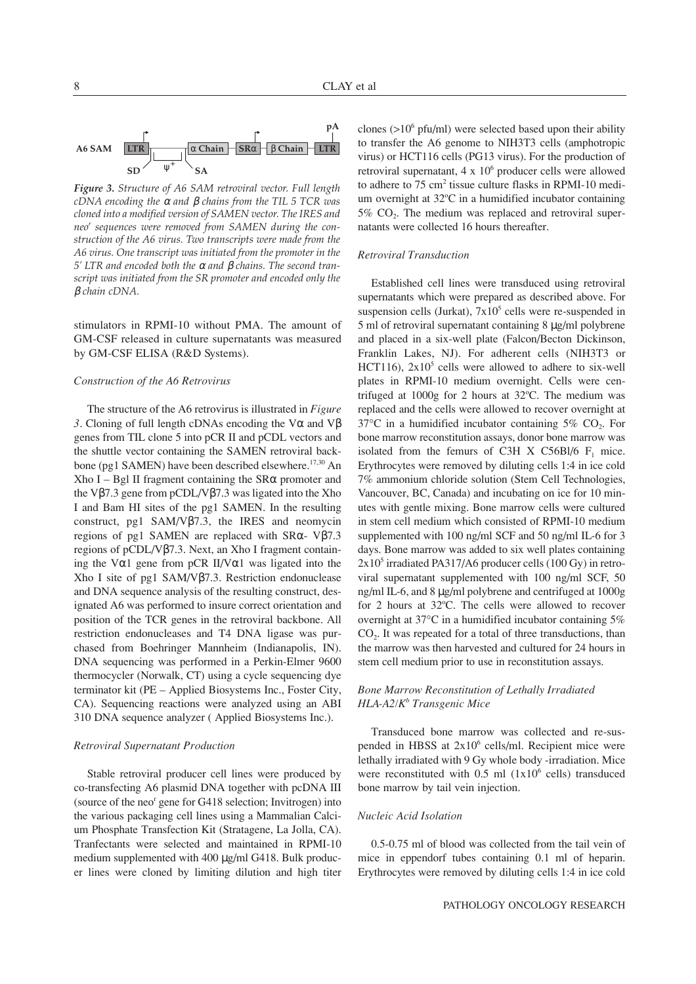

*Figure 3. Structure of A6 SAM retroviral vector. Full length cDNA encoding the* <sup>α</sup> *and* β *chains from the TIL 5 TCR was cloned into a modified version of SAMEN vector. The IRES and neor sequences were removed from SAMEN during the construction of the A6 virus. Two transcripts were made from the A6 virus. One transcript was initiated from the promoter in the 5' LTR and encoded both the* <sup>α</sup> *and* β *chains. The second transcript was initiated from the SR promoter and encoded only the* β *chain cDNA.*

stimulators in RPMI-10 without PMA. The amount of GM-CSF released in culture supernatants was measured by GM-CSF ELISA (R&D Systems).

## *Construction of the A6 Retrovirus*

The structure of the A6 retrovirus is illustrated in *Figure 3*. Cloning of full length cDNAs encoding the Vα and Vβ genes from TIL clone 5 into pCR II and pCDL vectors and the shuttle vector containing the SAMEN retroviral backbone (pg1 SAMEN) have been described elsewhere.<sup>17,30</sup> An Xho I – Bgl II fragment containing the  $S R\alpha$  promoter and the Vβ7.3 gene from pCDL/Vβ7.3 was ligated into the Xho I and Bam HI sites of the pg1 SAMEN. In the resulting construct, pg1 SAM/Vβ7.3, the IRES and neomycin regions of pg1 SAMEN are replaced with SRα- Vβ7.3 regions of pCDL/Vβ7.3. Next, an Xho I fragment containing the V $\alpha$ 1 gene from pCR II/V $\alpha$ 1 was ligated into the Xho I site of pg1 SAM/Vβ7.3. Restriction endonuclease and DNA sequence analysis of the resulting construct, designated A6 was performed to insure correct orientation and position of the TCR genes in the retroviral backbone. All restriction endonucleases and T4 DNA ligase was purchased from Boehringer Mannheim (Indianapolis, IN). DNA sequencing was performed in a Perkin-Elmer 9600 thermocycler (Norwalk, CT) using a cycle sequencing dye terminator kit (PE – Applied Biosystems Inc., Foster City, CA). Sequencing reactions were analyzed using an ABI 310 DNA sequence analyzer ( Applied Biosystems Inc.).

## *Retroviral Supernatant Production*

Stable retroviral producer cell lines were produced by co-transfecting A6 plasmid DNA together with pcDNA III (source of the neo<sup>r</sup> gene for G418 selection; Invitrogen) into the various packaging cell lines using a Mammalian Calcium Phosphate Transfection Kit (Stratagene, La Jolla, CA). Tranfectants were selected and maintained in RPMI-10 medium supplemented with 400 µg/ml G418. Bulk producer lines were cloned by limiting dilution and high titer clones ( $>10^6$  pfu/ml) were selected based upon their ability to transfer the A6 genome to NIH3T3 cells (amphotropic virus) or HCT116 cells (PG13 virus). For the production of retroviral supernatant,  $4 \times 10^6$  producer cells were allowed to adhere to 75 cm<sup>2</sup> tissue culture flasks in RPMI-10 medium overnight at 32°C in a humidified incubator containing  $5\%$  CO<sub>2</sub>. The medium was replaced and retroviral supernatants were collected 16 hours thereafter.

# *Retroviral Transduction*

Established cell lines were transduced using retroviral supernatants which were prepared as described above. For suspension cells (Jurkat),  $7x10^5$  cells were re-suspended in 5 ml of retroviral supernatant containing 8 µg/ml polybrene and placed in a six-well plate (Falcon/Becton Dickinson, Franklin Lakes, NJ). For adherent cells (NIH3T3 or HCT116),  $2x10^5$  cells were allowed to adhere to six-well plates in RPMI-10 medium overnight. Cells were centrifuged at 1000g for 2 hours at 32°C. The medium was replaced and the cells were allowed to recover overnight at  $37^{\circ}$ C in a humidified incubator containing  $5\%$  CO<sub>2</sub>. For bone marrow reconstitution assays, donor bone marrow was isolated from the femurs of C3H X C56Bl/6  $F_1$  mice. Erythrocytes were removed by diluting cells 1:4 in ice cold 7% ammonium chloride solution (Stem Cell Technologies, Vancouver, BC, Canada) and incubating on ice for 10 minutes with gentle mixing. Bone marrow cells were cultured in stem cell medium which consisted of RPMI-10 medium supplemented with 100 ng/ml SCF and 50 ng/ml IL-6 for 3 days. Bone marrow was added to six well plates containing  $2x10<sup>5</sup>$  irradiated PA317/A6 producer cells (100 Gy) in retroviral supernatant supplemented with 100 ng/ml SCF, 50 ng/ml IL-6, and 8 µg/ml polybrene and centrifuged at 1000g for 2 hours at 32°C. The cells were allowed to recover overnight at 37°C in a humidified incubator containing 5% CO<sub>2</sub>. It was repeated for a total of three transductions, than the marrow was then harvested and cultured for 24 hours in stem cell medium prior to use in reconstitution assays.

# *Bone Marrow Reconstitution of Lethally Irradiated HLA-A2/Kb Transgenic Mice*

Transduced bone marrow was collected and re-suspended in HBSS at 2x10<sup>6</sup> cells/ml. Recipient mice were lethally irradiated with 9 Gy whole body -irradiation. Mice were reconstituted with  $0.5$  ml  $(1x10<sup>6</sup>$  cells) transduced bone marrow by tail vein injection.

## *Nucleic Acid Isolation*

0.5-0.75 ml of blood was collected from the tail vein of mice in eppendorf tubes containing 0.1 ml of heparin. Erythrocytes were removed by diluting cells 1:4 in ice cold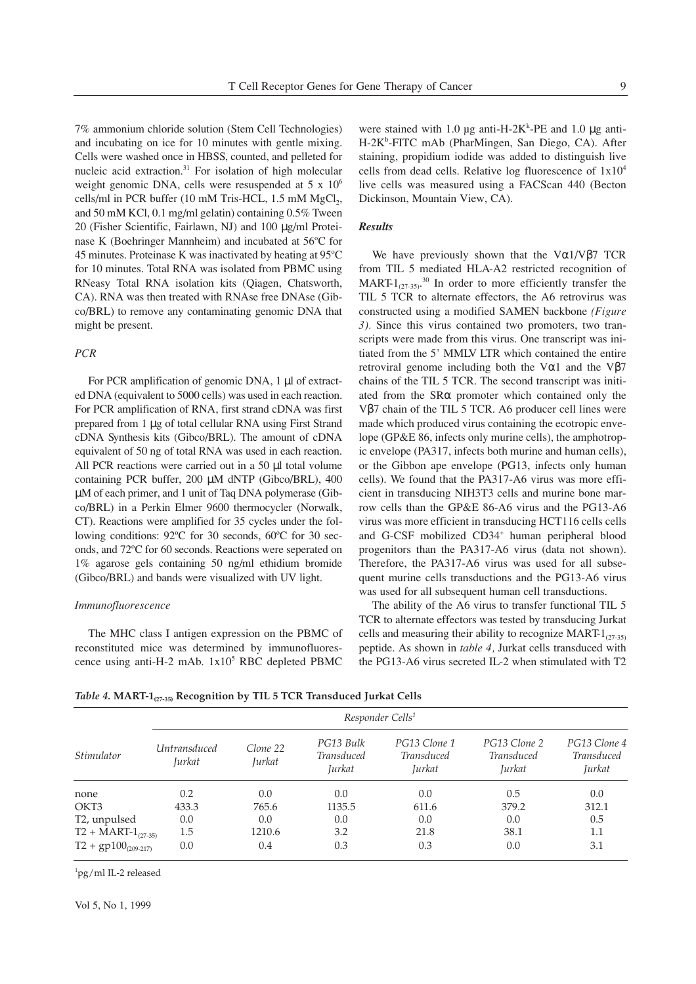7% ammonium chloride solution (Stem Cell Technologies) and incubating on ice for 10 minutes with gentle mixing. Cells were washed once in HBSS, counted, and pelleted for nucleic acid extraction.<sup>31</sup> For isolation of high molecular weight genomic DNA, cells were resuspended at 5 x 10<sup>6</sup> cells/ml in PCR buffer  $(10 \text{ mM Tris-HCL}, 1.5 \text{ mM MgCl}_2)$ , and 50 mM KCl, 0.1 mg/ml gelatin) containing 0.5% Tween 20 (Fisher Scientific, Fairlawn, NJ) and 100 µg/ml Proteinase K (Boehringer Mannheim) and incubated at 56°C for 45 minutes. Proteinase K was inactivated by heating at 95°C for 10 minutes. Total RNA was isolated from PBMC using RNeasy Total RNA isolation kits (Qiagen, Chatsworth, CA). RNA was then treated with RNAse free DNAse (Gibco/BRL) to remove any contaminating genomic DNA that might be present.

# *PCR*

For PCR amplification of genomic DNA, 1 µl of extracted DNA (equivalent to 5000 cells) was used in each reaction. For PCR amplification of RNA, first strand cDNA was first prepared from 1 µg of total cellular RNA using First Strand cDNA Synthesis kits (Gibco/BRL). The amount of cDNA equivalent of 50 ng of total RNA was used in each reaction. All PCR reactions were carried out in a 50 µl total volume containing PCR buffer, 200 µM dNTP (Gibco/BRL), 400 µM of each primer, and 1 unit of Taq DNA polymerase (Gibco/BRL) in a Perkin Elmer 9600 thermocycler (Norwalk, CT). Reactions were amplified for 35 cycles under the following conditions: 92°C for 30 seconds, 60°C for 30 seconds, and 72°C for 60 seconds. Reactions were seperated on 1% agarose gels containing 50 ng/ml ethidium bromide (Gibco/BRL) and bands were visualized with UV light.

# *Immunofluorescence*

The MHC class I antigen expression on the PBMC of reconstituted mice was determined by immunofluorescence using anti-H-2 mAb.  $1x10^5$  RBC depleted PBMC

were stained with 1.0  $\mu$ g anti-H-2K<sup>k</sup>-PE and 1.0  $\mu$ g anti-H-2K<sup>b</sup>-FITC mAb (PharMingen, San Diego, CA). After staining, propidium iodide was added to distinguish live cells from dead cells. Relative log fluorescence of  $1x10<sup>4</sup>$ live cells was measured using a FACScan 440 (Becton Dickinson, Mountain View, CA).

# *Results*

We have previously shown that the  $V\alpha1/V\beta7$  TCR from TIL 5 mediated HLA-A2 restricted recognition of MART- $1_{(27-35)}$ <sup>30</sup> In order to more efficiently transfer the TIL 5 TCR to alternate effectors, the A6 retrovirus was constructed using a modified SAMEN backbone *(Figure 3).* Since this virus contained two promoters, two transcripts were made from this virus. One transcript was initiated from the 5' MMLV LTR which contained the entire retroviral genome including both the V $\alpha$ 1 and the V $\beta$ 7 chains of the TIL 5 TCR. The second transcript was initiated from the SRα promoter which contained only the Vβ7 chain of the TIL 5 TCR. A6 producer cell lines were made which produced virus containing the ecotropic envelope (GP&E 86, infects only murine cells), the amphotropic envelope (PA317, infects both murine and human cells), or the Gibbon ape envelope (PG13, infects only human cells). We found that the PA317-A6 virus was more efficient in transducing NIH3T3 cells and murine bone marrow cells than the GP&E 86-A6 virus and the PG13-A6 virus was more efficient in transducing HCT116 cells cells and G-CSF mobilized CD34<sup>+</sup> human peripheral blood progenitors than the PA317-A6 virus (data not shown). Therefore, the PA317-A6 virus was used for all subsequent murine cells transductions and the PG13-A6 virus was used for all subsequent human cell transductions.

The ability of the A6 virus to transfer functional TIL 5 TCR to alternate effectors was tested by transducing Jurkat cells and measuring their ability to recognize MART- $1_{(27,35)}$ peptide. As shown in *table 4,* Jurkat cells transduced with the PG13-A6 virus secreted IL-2 when stimulated with T2

*Table 4.* **MART-1(27-35) Recognition by TIL 5 TCR Transduced Jurkat Cells**

|                                | Responder Cells <sup>1</sup>  |                    |                                   |                                                    |                                                    |                                             |
|--------------------------------|-------------------------------|--------------------|-----------------------------------|----------------------------------------------------|----------------------------------------------------|---------------------------------------------|
| Stimulator                     | <i>Untransduced</i><br>Jurkat | Clone 22<br>Jurkat | PG13 Bulk<br>Transduced<br>Jurkat | PG13 Clone 1<br><b>Transduced</b><br><i>Jurkat</i> | PG13 Clone 2<br><b>Transduced</b><br><i>Jurkat</i> | PG13 Clone 4<br><b>Transduced</b><br>Jurkat |
| none                           | 0.2                           | 0.0                | 0.0                               | 0.0                                                | 0.5                                                | 0.0                                         |
| OKT <sub>3</sub>               | 433.3                         | 765.6              | 1135.5                            | 611.6                                              | 379.2                                              | 312.1                                       |
| T <sub>2</sub> , unpulsed      | 0.0                           | 0.0                | 0.0                               | 0.0                                                | 0.0                                                | 0.5                                         |
| $T2 + \text{MART-1}_{(27-35)}$ | 1.5                           | 1210.6             | 3.2                               | 21.8                                               | 38.1                                               | 1.1                                         |
| $T2 + gp100_{(209-217)}$       | 0.0                           | 0.4                | 0.3                               | 0.3                                                | 0.0                                                | 3.1                                         |

1 pg/ml IL-2 released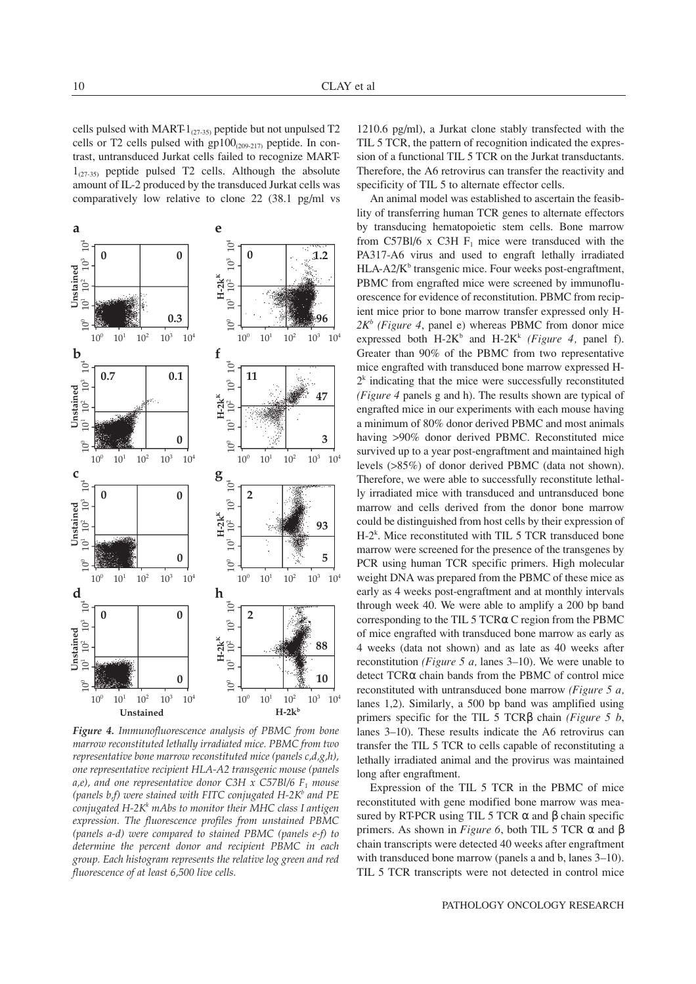cells pulsed with MART-1(27-35) peptide but not unpulsed T2 cells or T2 cells pulsed with  $gp100_{(209-217)}$  peptide. In contrast, untransduced Jurkat cells failed to recognize MART- $1_{(27-35)}$  peptide pulsed T2 cells. Although the absolute amount of IL-2 produced by the transduced Jurkat cells was comparatively low relative to clone 22 (38.1 pg/ml vs



*Figure 4. Immunofluorescence analysis of PBMC from bone marrow reconstituted lethally irradiated mice. PBMC from two representative bone marrow reconstituted mice (panels c,d,g,h), one representative recipient HLA-A2 transgenic mouse (panels*  $a,e$ , and one representative donor C3H x C57Bl/6  $F<sub>1</sub>$  mouse *(panels b,f)* were stained with FITC conjugated H-2K<sup>b</sup> and PE *conjugated H-2Kk mAbs to monitor their MHC class I antigen expression. The fluorescence profiles from unstained PBMC (panels a-d) were compared to stained PBMC (panels e-f) to determine the percent donor and recipient PBMC in each group. Each histogram represents the relative log green and red fluorescence of at least 6,500 live cells.*

1210.6 pg/ml), a Jurkat clone stably transfected with the TIL 5 TCR, the pattern of recognition indicated the expression of a functional TIL 5 TCR on the Jurkat transductants. Therefore, the A6 retrovirus can transfer the reactivity and specificity of TIL 5 to alternate effector cells.

An animal model was established to ascertain the feasiblity of transferring human TCR genes to alternate effectors by transducing hematopoietic stem cells. Bone marrow from C57Bl/6 x C3H  $F_1$  mice were transduced with the PA317-A6 virus and used to engraft lethally irradiated  $HLA-A2/K^b$  transgenic mice. Four weeks post-engraftment, PBMC from engrafted mice were screened by immunofluorescence for evidence of reconstitution. PBMC from recipient mice prior to bone marrow transfer expressed only H*-* $2K^b$  *(Figure 4, panel e)* whereas PBMC from donor mice expressed both  $H-2K^b$  and  $H-2K^k$  *(Figure 4, panel f).* Greater than 90% of the PBMC from two representative mice engrafted with transduced bone marrow expressed H- $2<sup>k</sup>$  indicating that the mice were successfully reconstituted *(Figure 4* panels g and h). The results shown are typical of engrafted mice in our experiments with each mouse having a minimum of 80% donor derived PBMC and most animals having >90% donor derived PBMC. Reconstituted mice survived up to a year post-engraftment and maintained high levels (>85%) of donor derived PBMC (data not shown). Therefore, we were able to successfully reconstitute lethally irradiated mice with transduced and untransduced bone marrow and cells derived from the donor bone marrow could be distinguished from host cells by their expression of  $H-2<sup>k</sup>$ . Mice reconstituted with TIL 5 TCR transduced bone marrow were screened for the presence of the transgenes by PCR using human TCR specific primers. High molecular weight DNA was prepared from the PBMC of these mice as early as 4 weeks post-engraftment and at monthly intervals through week 40. We were able to amplify a 200 bp band corresponding to the TIL 5 TCRα C region from the PBMC of mice engrafted with transduced bone marrow as early as 4 weeks (data not shown) and as late as 40 weeks after reconstitution *(Figure 5 a,* lanes 3–10). We were unable to detect TCRα chain bands from the PBMC of control mice reconstituted with untransduced bone marrow *(Figure 5 a,* lanes 1,2). Similarly, a 500 bp band was amplified using primers specific for the TIL 5 TCRβ chain *(Figure 5 b*, lanes 3–10). These results indicate the A6 retrovirus can transfer the TIL 5 TCR to cells capable of reconstituting a lethally irradiated animal and the provirus was maintained long after engraftment.

Expression of the TIL 5 TCR in the PBMC of mice reconstituted with gene modified bone marrow was measured by RT-PCR using TIL 5 TCR  $\alpha$  and  $\beta$  chain specific primers. As shown in *Figure 6*, both TIL 5 TCR  $\alpha$  and  $\beta$ chain transcripts were detected 40 weeks after engraftment with transduced bone marrow (panels a and b, lanes 3–10). TIL 5 TCR transcripts were not detected in control mice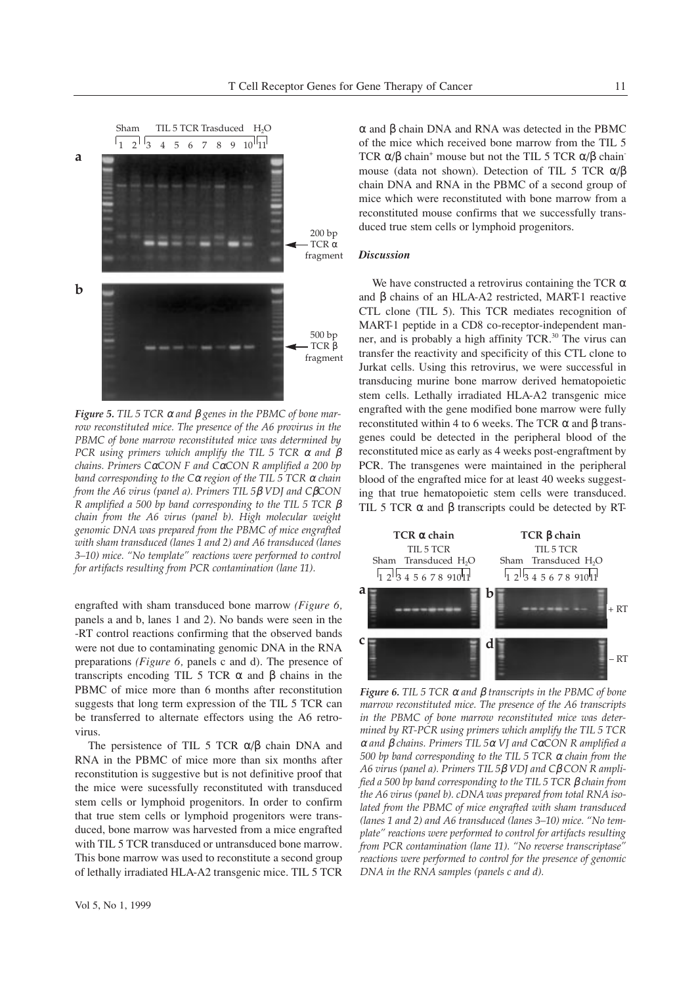

*Figure 5. TIL 5 TCR* <sup>α</sup> *and* β *genes in the PBMC of bone marrow reconstituted mice. The presence of the A6 provirus in the PBMC of bone marrow reconstituted mice was determined by PCR using primers which amplify the TIL 5 TCR* <sup>α</sup> *and* β *chains. Primers C*α*CON F and C*α*CON R amplified a 200 bp band corresponding to the C*<sup>α</sup> *region of the TIL 5 TCR* <sup>α</sup> *chain from the A6 virus (panel a). Primers TIL 5*β *VDJ and C*β*CON R amplified a 500 bp band corresponding to the TIL 5 TCR* β *chain from the A6 virus (panel b). High molecular weight genomic DNA was prepared from the PBMC of mice engrafted with sham transduced (lanes 1 and 2) and A6 transduced (lanes 3–10) mice. "No template" reactions were performed to control for artifacts resulting from PCR contamination (lane 11).*

engrafted with sham transduced bone marrow *(Figure 6,* panels a and b, lanes 1 and 2). No bands were seen in the -RT control reactions confirming that the observed bands were not due to contaminating genomic DNA in the RNA preparations *(Figure 6,* panels c and d). The presence of transcripts encoding TIL 5 TCR α and β chains in the PBMC of mice more than 6 months after reconstitution suggests that long term expression of the TIL 5 TCR can be transferred to alternate effectors using the A6 retrovirus.

The persistence of TIL 5 TCR  $\alpha/\beta$  chain DNA and RNA in the PBMC of mice more than six months after reconstitution is suggestive but is not definitive proof that the mice were sucessfully reconstituted with transduced stem cells or lymphoid progenitors. In order to confirm that true stem cells or lymphoid progenitors were transduced, bone marrow was harvested from a mice engrafted with TIL 5 TCR transduced or untransduced bone marrow. This bone marrow was used to reconstitute a second group of lethally irradiated HLA-A2 transgenic mice. TIL 5 TCR

α and β chain DNA and RNA was detected in the PBMC of the mice which received bone marrow from the TIL 5 TCR  $\alpha/\beta$  chain<sup>+</sup> mouse but not the TIL 5 TCR  $\alpha/\beta$  chainmouse (data not shown). Detection of TIL 5 TCR α/β chain DNA and RNA in the PBMC of a second group of mice which were reconstituted with bone marrow from a reconstituted mouse confirms that we successfully transduced true stem cells or lymphoid progenitors.

### *Discussion*

We have constructed a retrovirus containing the TCR  $\alpha$ and β chains of an HLA-A2 restricted, MART-1 reactive CTL clone (TIL 5). This TCR mediates recognition of MART-1 peptide in a CD8 co-receptor-independent manner, and is probably a high affinity TCR.<sup>30</sup> The virus can transfer the reactivity and specificity of this CTL clone to Jurkat cells. Using this retrovirus, we were successful in transducing murine bone marrow derived hematopoietic stem cells. Lethally irradiated HLA-A2 transgenic mice engrafted with the gene modified bone marrow were fully reconstituted within 4 to 6 weeks. The TCR α and β transgenes could be detected in the peripheral blood of the reconstituted mice as early as 4 weeks post-engraftment by PCR. The transgenes were maintained in the peripheral blood of the engrafted mice for at least 40 weeks suggesting that true hematopoietic stem cells were transduced. TIL 5 TCR  $\alpha$  and  $\beta$  transcripts could be detected by RT-



*Figure 6. TIL 5 TCR* <sup>α</sup> *and* β *transcripts in the PBMC of bone marrow reconstituted mice. The presence of the A6 transcripts in the PBMC of bone marrow reconstituted mice was determined by RT-PCR using primers which amplify the TIL 5 TCR* <sup>α</sup> *and* β *chains. Primers TIL 5*<sup>α</sup> *VJ and C*α*CON R amplified a 500 bp band corresponding to the TIL 5 TCR* <sup>α</sup> *chain from the A6 virus (panel a). Primers TIL 5*β *VDJ and C*β *CON R amplified a 500 bp band corresponding to the TIL 5 TCR* β *chain from the A6 virus (panel b). cDNA was prepared from total RNA isolated from the PBMC of mice engrafted with sham transduced (lanes 1 and 2) and A6 transduced (lanes 3–10) mice. "No template" reactions were performed to control for artifacts resulting from PCR contamination (lane 11). "No reverse transcriptase" reactions were performed to control for the presence of genomic DNA in the RNA samples (panels c and d).*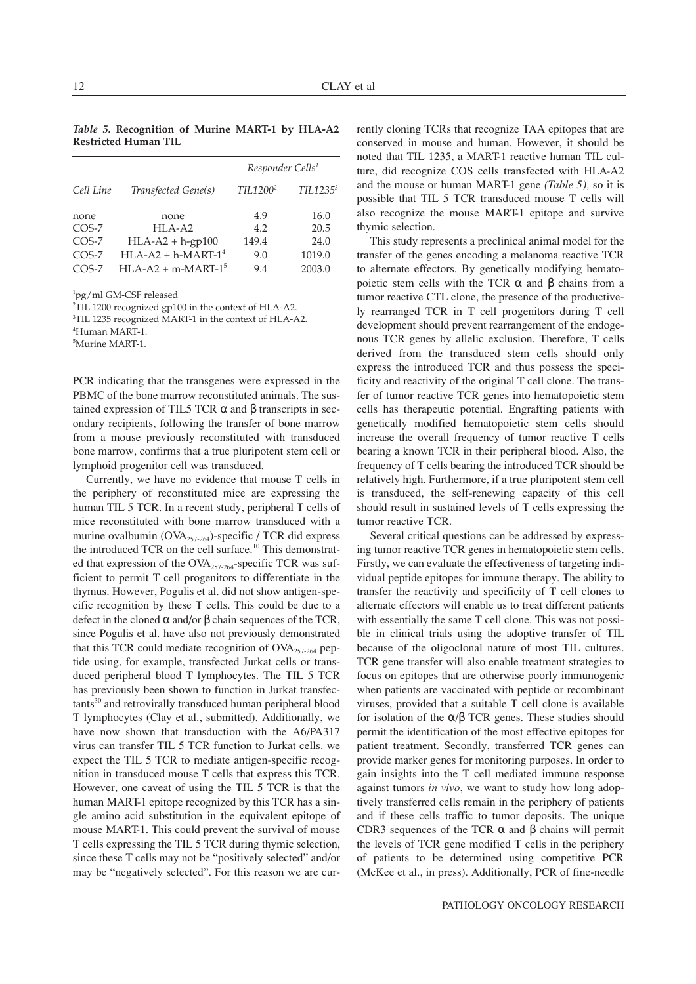*Table 5.* **Recognition of Murine MART-1 by HLA-A2 Restricted Human TIL**

|           |                       | Responder Cells <sup>1</sup> |                       |  |
|-----------|-----------------------|------------------------------|-----------------------|--|
| Cell Line | Transfected Gene(s)   | TIL1200 <sup>2</sup>         | TII.1235 <sup>3</sup> |  |
| none      | none                  | 4.9                          | 16.0                  |  |
| $COS-7$   | $HI.A-A2$             | 4.2                          | 20.5                  |  |
| $COS-7$   | $HLA-A2 + h-gp100$    | 149.4                        | 24.0                  |  |
| $COS-7$   | $HI.A-A2 + h-MART-14$ | 9.0                          | 1019.0                |  |
| $COS-7$   | $HLA-A2 + m-MART-15$  | 9.4                          | 2003.0                |  |

1 pg/ml GM-CSF released

2 TIL 1200 recognized gp100 in the context of HLA-A2.

3 TIL 1235 recognized MART-1 in the context of HLA-A2.

4 Human MART-1.

5 Murine MART-1.

PCR indicating that the transgenes were expressed in the PBMC of the bone marrow reconstituted animals. The sustained expression of TIL5 TCR  $\alpha$  and β transcripts in secondary recipients, following the transfer of bone marrow from a mouse previously reconstituted with transduced bone marrow, confirms that a true pluripotent stem cell or lymphoid progenitor cell was transduced.

Currently, we have no evidence that mouse T cells in the periphery of reconstituted mice are expressing the human TIL 5 TCR. In a recent study, peripheral T cells of mice reconstituted with bone marrow transduced with a murine ovalbumin (OVA<sub>257-264</sub>)-specific / TCR did express the introduced TCR on the cell surface.<sup>10</sup> This demonstrated that expression of the  $OVA_{257-264}$ -specific TCR was sufficient to permit T cell progenitors to differentiate in the thymus. However, Pogulis et al. did not show antigen-specific recognition by these T cells. This could be due to a defect in the cloned α and/or β chain sequences of the TCR, since Pogulis et al. have also not previously demonstrated that this TCR could mediate recognition of  $OVA<sub>257-264</sub>$  peptide using, for example, transfected Jurkat cells or transduced peripheral blood T lymphocytes. The TIL 5 TCR has previously been shown to function in Jurkat transfectants<sup>30</sup> and retrovirally transduced human peripheral blood T lymphocytes (Clay et al., submitted). Additionally, we have now shown that transduction with the A6/PA317 virus can transfer TIL 5 TCR function to Jurkat cells. we expect the TIL 5 TCR to mediate antigen-specific recognition in transduced mouse T cells that express this TCR. However, one caveat of using the TIL 5 TCR is that the human MART-1 epitope recognized by this TCR has a single amino acid substitution in the equivalent epitope of mouse MART-1. This could prevent the survival of mouse T cells expressing the TIL 5 TCR during thymic selection, since these T cells may not be "positively selected" and/or may be "negatively selected". For this reason we are currently cloning TCRs that recognize TAA epitopes that are conserved in mouse and human. However, it should be noted that TIL 1235, a MART-1 reactive human TIL culture, did recognize COS cells transfected with HLA-A2 and the mouse or human MART-1 gene *(Table 5),* so it is possible that TIL 5 TCR transduced mouse T cells will also recognize the mouse MART-1 epitope and survive thymic selection.

This study represents a preclinical animal model for the transfer of the genes encoding a melanoma reactive TCR to alternate effectors. By genetically modifying hematopoietic stem cells with the TCR  $\alpha$  and  $\beta$  chains from a tumor reactive CTL clone, the presence of the productively rearranged TCR in T cell progenitors during T cell development should prevent rearrangement of the endogenous TCR genes by allelic exclusion. Therefore, T cells derived from the transduced stem cells should only express the introduced TCR and thus possess the specificity and reactivity of the original T cell clone. The transfer of tumor reactive TCR genes into hematopoietic stem cells has therapeutic potential. Engrafting patients with genetically modified hematopoietic stem cells should increase the overall frequency of tumor reactive T cells bearing a known TCR in their peripheral blood. Also, the frequency of T cells bearing the introduced TCR should be relatively high. Furthermore, if a true pluripotent stem cell is transduced, the self-renewing capacity of this cell should result in sustained levels of T cells expressing the tumor reactive TCR.

Several critical questions can be addressed by expressing tumor reactive TCR genes in hematopoietic stem cells. Firstly, we can evaluate the effectiveness of targeting individual peptide epitopes for immune therapy. The ability to transfer the reactivity and specificity of T cell clones to alternate effectors will enable us to treat different patients with essentially the same T cell clone. This was not possible in clinical trials using the adoptive transfer of TIL because of the oligoclonal nature of most TIL cultures. TCR gene transfer will also enable treatment strategies to focus on epitopes that are otherwise poorly immunogenic when patients are vaccinated with peptide or recombinant viruses, provided that a suitable T cell clone is available for isolation of the α/β TCR genes. These studies should permit the identification of the most effective epitopes for patient treatment. Secondly, transferred TCR genes can provide marker genes for monitoring purposes. In order to gain insights into the T cell mediated immune response against tumors *in vivo*, we want to study how long adoptively transferred cells remain in the periphery of patients and if these cells traffic to tumor deposits. The unique CDR3 sequences of the TCR α and β chains will permit the levels of TCR gene modified T cells in the periphery of patients to be determined using competitive PCR (McKee et al., in press). Additionally, PCR of fine-needle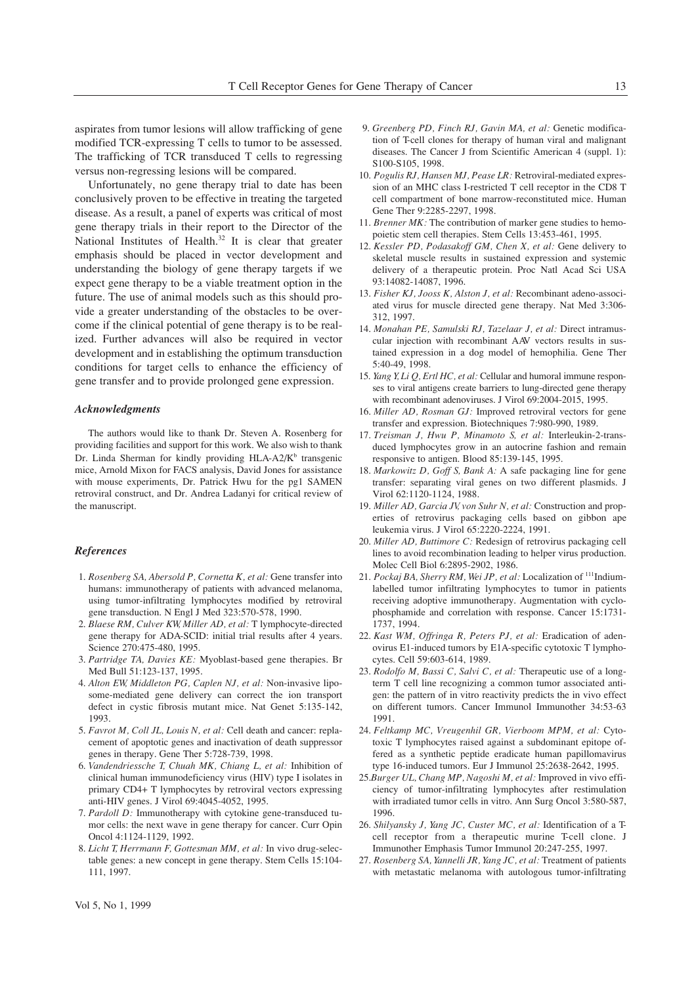aspirates from tumor lesions will allow trafficking of gene modified TCR-expressing T cells to tumor to be assessed. The trafficking of TCR transduced T cells to regressing versus non-regressing lesions will be compared.

Unfortunately, no gene therapy trial to date has been conclusively proven to be effective in treating the targeted disease. As a result, a panel of experts was critical of most gene therapy trials in their report to the Director of the National Institutes of Health. $32$  It is clear that greater emphasis should be placed in vector development and understanding the biology of gene therapy targets if we expect gene therapy to be a viable treatment option in the future. The use of animal models such as this should provide a greater understanding of the obstacles to be overcome if the clinical potential of gene therapy is to be realized. Further advances will also be required in vector development and in establishing the optimum transduction conditions for target cells to enhance the efficiency of gene transfer and to provide prolonged gene expression.

#### *Acknowledgments*

The authors would like to thank Dr. Steven A. Rosenberg for providing facilities and support for this work. We also wish to thank Dr. Linda Sherman for kindly providing HLA-A2/K<sup>b</sup> transgenic mice, Arnold Mixon for FACS analysis, David Jones for assistance with mouse experiments, Dr. Patrick Hwu for the pg1 SAMEN retroviral construct, and Dr. Andrea Ladanyi for critical review of the manuscript.

## *References*

- 1. Rosenberg SA, Abersold P, Cornetta K, et al: Gene transfer into humans: immunotherapy of patients with advanced melanoma, using tumor-infiltrating lymphocytes modified by retroviral gene transduction. N Engl J Med 323:570-578, 1990.
- 2. Blaese RM, Culver KW, Miller AD, et al: T lymphocyte-directed gene therapy for ADA-SCID: initial trial results after 4 years. Science 270:475-480, 1995.
- 3. Partridge TA, Davies KE: Myoblast-based gene therapies. Br Med Bull 51:123-137, 1995.
- 4. Alton EW, Middleton PG, Caplen NJ, et al: Non-invasive liposome-mediated gene delivery can correct the ion transport defect in cystic fibrosis mutant mice. Nat Genet 5:135-142, 1993.
- 5. Favrot M, Coll JL, Louis N, et al: Cell death and cancer: replacement of apoptotic genes and inactivation of death suppressor genes in therapy. Gene Ther 5:728-739, 1998.
- 6.² *Vandendriessche T, Chuah MK, Chiang L, et al:* Inhibition of clinical human immunodeficiency virus (HIV) type I isolates in primary CD4+ T lymphocytes by retroviral vectors expressing anti-HIV genes. J Virol 69:4045-4052, 1995.
- 7. Pardoll D: Immunotherapy with cytokine gene-transduced tumor cells: the next wave in gene therapy for cancer. Curr Opin Oncol 4:1124-1129, 1992.
- 8. Licht T, Herrmann F, Gottesman MM, et al: In vivo drug-selectable genes: a new concept in gene therapy. Stem Cells 15:104- 111, 1997.
- 9. *Greenberg PD, Finch RJ, Gavin MA, et al: Genetic modifica*tion of T-cell clones for therapy of human viral and malignant diseases. The Cancer J from Scientific American 4 (suppl. 1): S100-S105, 1998.
- 10. Pogulis RJ, Hansen MJ, Pease LR: Retroviral-mediated expression of an MHC class I-restricted T cell receptor in the CD8 T cell compartment of bone marrow-reconstituted mice. Human Gene Ther 9:2285-2297, 1998.
- 11. Brenner MK: The contribution of marker gene studies to hemopoietic stem cell therapies. Stem Cells 13:453-461, 1995.
- 12. Kessler PD, Podasakoff GM, Chen X, et al: Gene delivery to skeletal muscle results in sustained expression and systemic delivery of a therapeutic protein. Proc Natl Acad Sci USA 93:14082-14087, 1996.
- 13. Fisher KJ, Jooss K, Alston J, et al: Recombinant adeno-associated virus for muscle directed gene therapy. Nat Med 3:306- 312, 1997.
- 14. Monahan PE, Samulski RJ, Tazelaar J, et al: Direct intramuscular injection with recombinant AAV vectors results in sustained expression in a dog model of hemophilia. Gene Ther 5:40-49, 1998.
- 15.² *Yang Y, Li Q, Ertl HC, et al:* Cellular and humoral immune responses to viral antigens create barriers to lung-directed gene therapy with recombinant adenoviruses. J Virol 69:2004-2015, 1995.
- 16. *Miller AD, Rosman GJ:* Improved retroviral vectors for gene transfer and expression. Biotechniques 7:980-990, 1989.
- 17. Treisman J, Hwu P, Minamoto S, et al: Interleukin-2-transduced lymphocytes grow in an autocrine fashion and remain responsive to antigen. Blood 85:139-145, 1995.
- 18. Markowitz D, Goff S, Bank A: A safe packaging line for gene transfer: separating viral genes on two different plasmids. J Virol 62:1120-1124, 1988.
- 19. Miller AD, Garcia JV, von Suhr N, et al: Construction and properties of retrovirus packaging cells based on gibbon ape leukemia virus. J Virol 65:2220-2224, 1991.
- 20. *Miller AD, Buttimore C:* Redesign of retrovirus packaging cell lines to avoid recombination leading to helper virus production. Molec Cell Biol 6:2895-2902, 1986.
- 21. Pockaj BA, Sherry RM, Wei JP, et al: Localization of <sup>111</sup>Indiumlabelled tumor infiltrating lymphocytes to tumor in patients receiving adoptive immunotherapy. Augmentation with cyclophosphamide and correlation with response. Cancer 15:1731- 1737, 1994.
- 22. *Kast WM, Offringa R, Peters PJ, et al: Eradication of aden*ovirus E1-induced tumors by E1A-specific cytotoxic T lymphocytes. Cell 59:603-614, 1989.
- 23. Rodolfo M, Bassi C, Salvi C, et al: Therapeutic use of a longterm T cell line recognizing a common tumor associated antigen: the pattern of in vitro reactivity predicts the in vivo effect on different tumors. Cancer Immunol Immunother 34:53-63 1991.
- 24. Feltkamp MC, Vreugenhil GR, Vierboom MPM, et al: Cytotoxic T lymphocytes raised against a subdominant epitope offered as a synthetic peptide eradicate human papillomavirus type 16-induced tumors. Eur J Immunol 25:2638-2642, 1995.
- 25.*Burger UL, Chang MP, Nagoshi M, et al:* Improved in vivo efficiency of tumor-infiltrating lymphocytes after restimulation with irradiated tumor cells in vitro. Ann Surg Oncol 3:580-587, 1996.
- 26. Shilyansky J, Yang JC, Custer MC, et al: Identification of a Tcell receptor from a therapeutic murine T-cell clone. J Immunother Emphasis Tumor Immunol 20:247-255, 1997.
- 27. Rosenberg SA, Yannelli JR, Yang JC, et al: Treatment of patients with metastatic melanoma with autologous tumor-infiltrating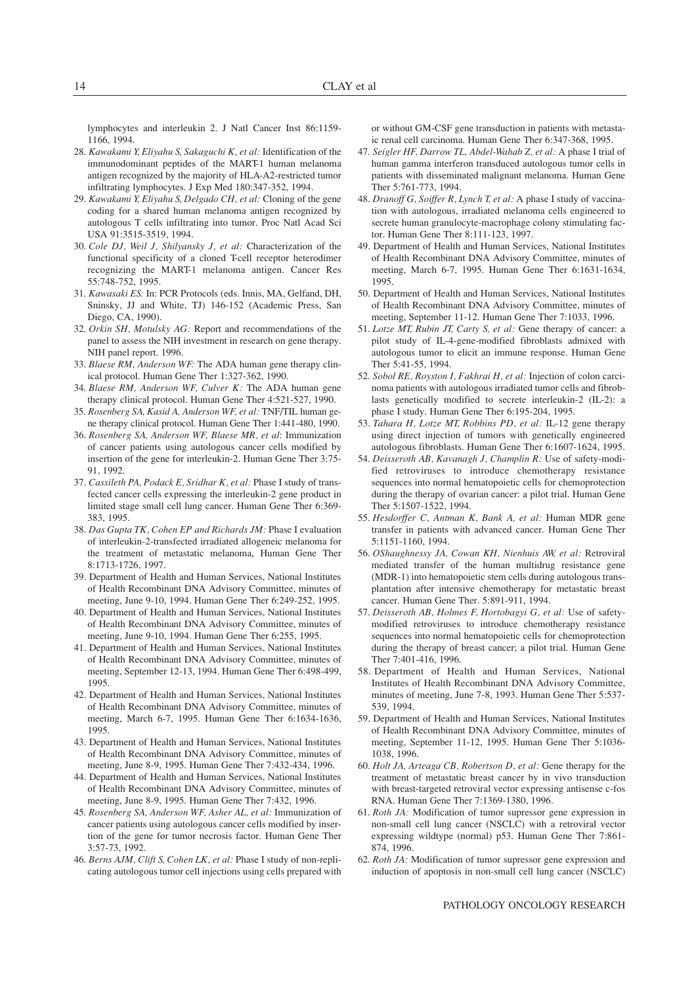lymphocytes and interleukin 2. J Natl Cancer Inst 86:1159- 1166, 1994.

- 28. *Kawakami Y, Eliyahu S, Sakaguchi K, et al: Identification of the* immunodominant peptides of the MART-1 human melanoma antigen recognized by the majority of HLA-A2-restricted tumor infiltrating lymphocytes. J Exp Med 180:347-352, 1994.
- 29. *Kawakami Y, Eliyahu S, Delgado CH, et al: Cloning of the gene* coding for a shared human melanoma antigen recognized by autologous T cells infiltrating into tumor. Proc Natl Acad Sci USA 91:3515-3519, 1994.
- 30. Cole DJ, Weil J, Shilyansky J, et al: Characterization of the functional specificity of a cloned T-cell receptor heterodimer recognizing the MART-1 melanoma antigen. Cancer Res 55:748-752, 1995.
- 31. Kawasaki ES: In: PCR Protocols (eds. Innis, MA, Gelfand, DH, Sninsky, JJ and White, TJ) 146-152 (Academic Press, San Diego, CA, 1990).
- 32. *Orkin SH, Motulsky AG:* Report and recommendations of the panel to assess the NIH investment in research on gene therapy. NIH panel report. 1996.
- 33. *Blaese RM, Anderson WF:* The ADA human gene therapy clinical protocol. Human Gene Ther 1:327-362, 1990.
- 34. Blaese RM, Anderson WF, Culver K: The ADA human gene therapy clinical protocol. Human Gene Ther 4:521-527, 1990.
- 35. Rosenberg SA, Kasid A, Anderson WF, et al: TNF/TIL human gene therapy clinical protocol. Human Gene Ther 1:441-480, 1990.
- 36. Rosenberg SA, Anderson WF, Blaese MR, et al: Immunization of cancer patients using autologous cancer cells modified by insertion of the gene for interleukin-2. Human Gene Ther 3:75- 91, 1992.
- 37. Cassileth PA, Podack E, Sridhar K, et al: Phase I study of transfected cancer cells expressing the interleukin-2 gene product in limited stage small cell lung cancer. Human Gene Ther 6:369- 383, 1995.
- 38. Das Gupta TK, Cohen EP and Richards JM: Phase I evaluation of interleukin-2-transfected irradiated allogeneic melanoma for the treatment of metastatic melanoma, Human Gene Ther 8:1713-1726, 1997.
- 39. Department of Health and Human Services, National Institutes of Health Recombinant DNA Advisory Committee, minutes of meeting, June 9-10, 1994. Human Gene Ther 6:249-252, 1995.
- 40. Department of Health and Human Services, National Institutes of Health Recombinant DNA Advisory Committee, minutes of meeting, June 9-10, 1994. Human Gene Ther 6:255, 1995.
- 41. Department of Health and Human Services, National Institutes of Health Recombinant DNA Advisory Committee, minutes of meeting, September 12-13, 1994. Human Gene Ther 6:498-499, 1995.
- 42. Department of Health and Human Services, National Institutes of Health Recombinant DNA Advisory Committee, minutes of meeting, March 6-7, 1995. Human Gene Ther 6:1634-1636, 1995.
- 43. Department of Health and Human Services, National Institutes of Health Recombinant DNA Advisory Committee, minutes of meeting, June 8-9, 1995. Human Gene Ther 7:432-434, 1996.
- 44. Department of Health and Human Services, National Institutes of Health Recombinant DNA Advisory Committee, minutes of meeting, June 8-9, 1995. Human Gene Ther 7:432, 1996.
- 45. Rosenberg SA, Anderson WF, Asher AL, et al: Immunization of cancer patients using autologous cancer cells modified by insertion of the gene for tumor necrosis factor. Human Gene Ther 3:57-73, 1992.
- 46. *Berns AJM, Clift S, Cohen LK, et al:* Phase I study of non-replicating autologous tumor cell injections using cells prepared with

or without GM-CSF gene transduction in patients with metastaic renal cell carcinoma. Human Gene Ther 6:347-368, 1995.

- 47.² *Seigler HF, Darrow TL, Abdel-Wahab Z, et al:* A phase I trial of human gamma interferon transduced autologous tumor cells in patients with disseminated malignant melanoma. Human Gene Ther 5:761-773, 1994.
- 48. *Dranoff G, Soiffer R, Lynch T, et al:* A phase I study of vaccination with autologous, irradiated melanoma cells engineered to secrete human granulocyte-macrophage colony stimulating factor. Human Gene Ther 8:111-123, 1997.
- 49. Department of Health and Human Services, National Institutes of Health Recombinant DNA Advisory Committee, minutes of meeting, March 6-7, 1995. Human Gene Ther 6:1631-1634, 1995.
- 50. Department of Health and Human Services, National Institutes of Health Recombinant DNA Advisory Committee, minutes of meeting, September 11-12. Human Gene Ther 7:1033, 1996.
- 51. Lotze MT, Rubin JT, Carty S, et al: Gene therapy of cancer: a pilot study of IL-4-gene-modified fibroblasts admixed with autologous tumor to elicit an immune response. Human Gene Ther 5:41-55, 1994.
- 52. Sobol RE, Royston I, Fakhrai H, et al: Injection of colon carcinoma patients with autologous irradiated tumor cells and fibroblasts genetically modified to secrete interleukin-2 (IL-2): a phase I study. Human Gene Ther 6:195-204, 1995.
- 53. *Tahara H, Lotze MT, Robbins PD, et al: IL-12* gene therapy using direct injection of tumors with genetically engineered autologous fibroblasts. Human Gene Ther 6:1607-1624, 1995.
- 54. *Deisseroth AB, Kavanagh J, Champlin R:* Use of safety-modified retroviruses to introduce chemotherapy resistance sequences into normal hematopoietic cells for chemoprotection during the therapy of ovarian cancer: a pilot trial. Human Gene Ther 5:1507-1522, 1994.
- 55. Hesdorffer C, Antman K, Bank A, et al: Human MDR gene transfer in patients with advanced cancer. Human Gene Ther 5:1151-1160, 1994.
- 56.² *OShaughnessy JA, Cowan KH, Nienhuis AW, et al:* Retroviral mediated transfer of the human multidrug resistance gene (MDR-1) into hematopoietic stem cells during autologous transplantation after intensive chemotherapy for metastatic breast cancer. Human Gene Ther. 5:891-911, 1994.
- 57. Deisseroth AB, Holmes F, Hortobagyi G, et al: Use of safetymodified retroviruses to introduce chemotherapy resistance sequences into normal hematopoietic cells for chemoprotection during the therapy of breast cancer; a pilot trial. Human Gene Ther 7:401-416, 1996.
- 58. Department of Health and Human Services, National Institutes of Health Recombinant DNA Advisory Committee, minutes of meeting, June 7-8, 1993. Human Gene Ther 5:537- 539, 1994.
- 59. Department of Health and Human Services, National Institutes of Health Recombinant DNA Advisory Committee, minutes of meeting, September 11-12, 1995. Human Gene Ther 5:1036- 1038, 1996.
- 60.² *Holt JA, Arteaga CB, Robertson D, et al:* Gene therapy for the treatment of metastatic breast cancer by in vivo transduction with breast-targeted retroviral vector expressing antisense c-fos RNA. Human Gene Ther 7:1369-1380, 1996.
- 61. *Roth JA:* Modification of tumor supressor gene expression in non-small cell lung cancer (NSCLC) with a retroviral vector expressing wildtype (normal) p53. Human Gene Ther 7:861- 874, 1996.
- 62. *Roth JA:* Modification of tumor supressor gene expression and induction of apoptosis in non-small cell lung cancer (NSCLC)